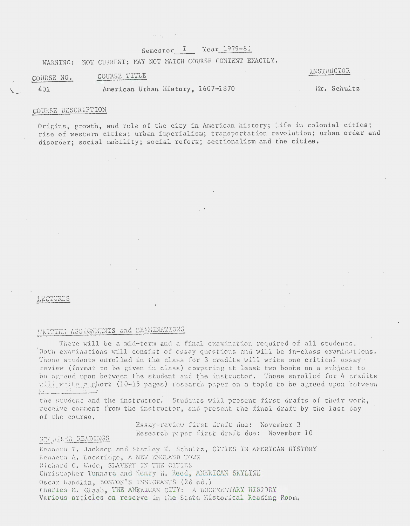## Semester I Year 1979-80

WARNING: NOT CURRENT; MAY NOT MATCH COURSE CONTENT EXACTLY.

 $\mathbf{y}_1 = \mathbf{y}_1$  , where  $\mathbf{y}_1$ 

#### COURSE TITLE COURSE NO.

INSTRUCTOR

401

American Urban History, 1607-1870

#### Mr. Schultz

### COURSE DESCRIPTION

Origins, growth, and role of the city in American history; life in colonial cities; rise of western cities; urban imperialism; transportation revolution; urban order and disorder: social mobility; social reform; sectionalism and the cities.

#### LECTURES

RECULED READINGS

# WRITTEN ASSIGNMENTS and EXAMINATIONS

There will be a mid-term and a final examination required of all students. Both examinations will consist of essay questions and will be in-class examinations. Those students enrolled in the class for 3 credits will write one critical essayreview (format to be given in class) comparing at least two books on a subject to be agreed upon between the student and the instructor. Those enrolled for 4 credits will write gighert (10-15 pages) research paper on a topic to be agreed upon between

the student and the instructor. Students will present first drafts of their work, receive comment from the instructor, and present the final draft by the last day of the course.

> Essay-review first draft due: November 3 Research paper first draft due: November 10

Kenneth T. Jackson and Stanley K. Schultz, CITIES IN AMERICAN HISTORY Kenneth A. Lockridge, A NEW ENGLAND TOWN Richard C. Wade, SLAVERY IN THE CITIES Christopher Tunnard and Henry H. Reed, AMERICAN SKYLINE Oscar Handlin, BOSTON'S INNEGRANTS (2d ed.) Charles M. Glaab, THE AMERICAN CITY: A DOCUMENTARY HISTORY Various articles on reserve in the State Historical Reading Room.